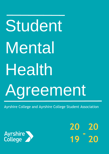# Student Mental Health Agreement

Ayrshire College and Ayrshire College Student Association



**20 19 20 20 -**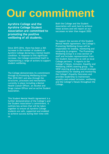# **Our commitment**

**Ayrshire College and the Ayrshire College Student Association are committed to promoting the positive wellbeing of all students.**

Since 2015-2016, there has been a 36% increase in the number of students at Ayrshire College declaring a mental health condition. In response to this significant increase, the College committed itself to implementing a range of actions to support student wellbeing.

The College demonstrates its commitment through its Promoting Wellbeing Action Plan 2018-2021 and also through the structures, processes and mechanisms currently in place including a Mental Health Liaison Officer, an Alcohol and Drugs Liaison Officer and an active Student Association.

This Student Mental Health Agreement is a further demonstration of the College's and the Student Association's commitment. It outlines key actions that will be taken together to ensure all Ayrshire College students are safe, supported and enabled to achieve success during their time with us.

Both the College and the Student Association will work hard to achieve these actions and will report on our successes no later than August 2020.

To support the success of this Student Mental Health Agreement, the College's Promoting Wellbeing Group will be responsible for leading, monitoring and reviewing its progress. The Promoting Wellbeing Group is a cross-section of staff and includes representation from the Student Association as well as local College partners. It reports to the College's Values, Inclusion, Equality and Wellbeing (VIEW) steering group. The VIEW steering group has overall strategic responsibility for leading and monitoring the College's Equality Outcomes and provides leadership to mainstream equality and embed inclusion, wellbeing and the College's Values throughout the College.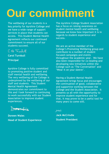# **Our** commitment

The wellbeing of our students is a key priority for Ayrshire College and we have a wide range of support services in place that students can access. This Student Mental Health Agreement reflects our continued commitment to ensure all of our students succeed.

CA Junhall

**Carol Turnbull Principal** 

Ayrshire College is fully committed to promoting positive student and staff mental health and wellbeing. The very wellbeing of the College is underpinned by the wellbeing of our staff and students. This Student Mental Health Agreement demonstrates our commitment to this and I look forward to continuing to work successfully with our Student Association to improve student experiences.

Darmwolls

**Doreen Wales Head of Student Experience** The Ayrshire College Student Association has a focus on raising awareness on student mental health and wellbeing because we know how important it is in regards to student experience and success.

We are an active member of the College's Promoting Wellbeing group and contribute to a number of student focused campaigns and events throughout the academic year. We have also been responsible for co-leading and developing new initiatives within the College such as 'The Conversation' and 'Wear it on your sleeve'.

Having a Student Mental Health Agreement brings focus and encourages the continuation of good, collaborative and supportive working between the College and the Student Association. It presents us all with the opportunity to improve student experience and for that, it may prove to be a useful tool for many years to come still.

JMcC

**Jack McCrindle Student President**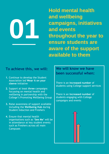**Hold mental health and wellbeing campaigns, initiatives and events throughout the year to ensure students are aware of the support available to them**

#### **To achieve this, we will:**

- **1.** Continue to develop the Student Association led **Wear it on your sleeve** initiative
- **2.** Support at least **three** campaigns focussing on mental health and wellbeing in partnership with the College's Promoting Wellbeing Group
- **3.** Raise awareness of support available including the **Wellbeing Hub** during Student Induction and Freshers
- **4.** Ensure that mental health organisations such as **'See Me'** will be in attendance at key student events such as Freshers across all main Campuses

## **We will know we have been successful when:**

There is an **increased number** of students using College support services

There is an **increased number** of students engaging with College campaigns and events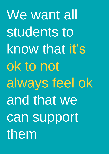We want all students to know that it's ok to not always feel ok and that we can support them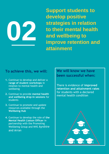

**Support students to develop positive strategies in relation to their mental health and wellbeing to improve retention and attainment**

#### **To achieve this, we will:**

- **1.** Continue to develop and deliver a **range of student workshops** in relation to mental health and wellbeing
- **2.** Continue to provide **mental health and wellbeing drop-in sessions** for students
- **3.** Continue to promote and update resources available through the **Wellbeing Hub**
- **4.** Continue to develop the role of **the Mental Health Liaison Officer** in partnership with the Promoting Wellbeing Group and NHS Ayrshire and Arran

**We will know we have been successful when:**

There is evidence of **improved retention and attainment rates** for students with a declared mental health condition

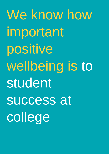We know how important positive wellbeing is to student success at college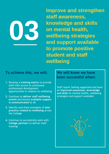**Improve and strengthen staff awareness, knowledge and skills on mental health, wellbeing strategies and support available to promote positive student and staff wellbeing**

## **To achieve this, we will:**

- **1.** Develop a **training matrix** to provide staff with access to continuous professional development opportunities in relation to wellbeing
- **2.** Continue to **deliver staff wellbeing events** and ensure **available support is communicated** to all
- **3.** Identify and share examples of **best practice related to wellbeing** across the College
- **4.** Continue to successfully work with **College partners** to deliver staff training

**We will know we have been successful when:**

Staff report feeling supported and have an **improved awareness, knowledge and skills** on mental health, wellbeing strategies and support available

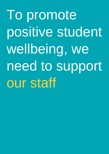To promote positive student wellbeing, we need to support our staff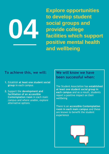**Explore opportunities to develop student social groups and provide college facilities which support positive mental health and wellbeing**

#### **To achieve this, we will:**

- **1.** Establish **at least one student social group** in each campus
- **2.** Support the **development and facilitation of an accessible Contemplation room** in each main campus and where unable, explore alternative options

## **We will know we have been successful when:**

The Student Association has **established at least one student social group in each campus** and as a result, students report a positive impact on their wellbeing

There is an **accessible Contemplation room in each main campus** and these are known to benefit the student experience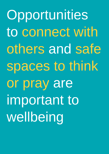Opportunities to connect with others and safe spaces to think or pray are important to wellbeing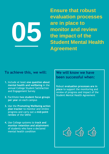**Ensure that robust evaluation processes are in place to monitor and review the impact of the Student Mental Health Agreement**

#### **To achieve this, we will:**

- **1.** Include at least **one question about mental health and wellbeing** in the annual College Student Satisfaction and Engagement Survey
- **2.** Facilitate **two student focus groups per yea**r on each campus
- **3.** Use the **Promoting Wellbeing action plan tracker** to monitor and review progress and carry out a **mid-point review** of the SMHA
- **4.** Use College systems to **track and monitor retention and attainment** of students who have a declared mental health condition

## **We will know we have been successful when:**

Robust **evaluation processes are in place** to support the monitoring and review of progress and impact of the Student Mental Health Agreement